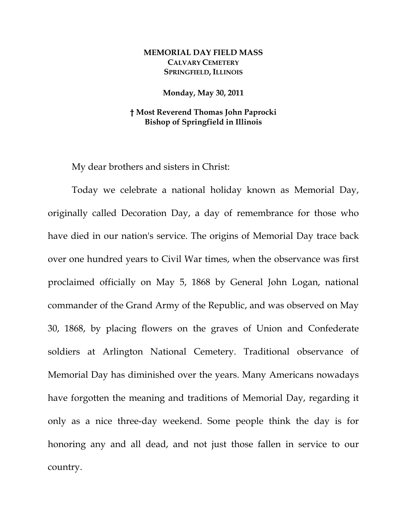## **MEMORIAL DAY FIELD MASS CALVARY CEMETERY SPRINGFIELD, ILLINOIS**

## **Monday, May 30, 2011**

## **† Most Reverend Thomas John Paprocki Bishop of Springfield in Illinois**

My dear brothers and sisters in Christ:

 Today we celebrate a national holiday known as Memorial Day, originally called Decoration Day, a day of remembrance for those who have died in our nation's service. The origins of Memorial Day trace back over one hundred years to Civil War times, when the observance was first proclaimed officially on May 5, 1868 by General John Logan, national commander of the Grand Army of the Republic, and was observed on May 30, 1868, by placing flowers on the graves of Union and Confederate soldiers at Arlington National Cemetery. Traditional observance of Memorial Day has diminished over the years. Many Americans nowadays have forgotten the meaning and traditions of Memorial Day, regarding it only as a nice three-day weekend. Some people think the day is for honoring any and all dead, and not just those fallen in service to our country.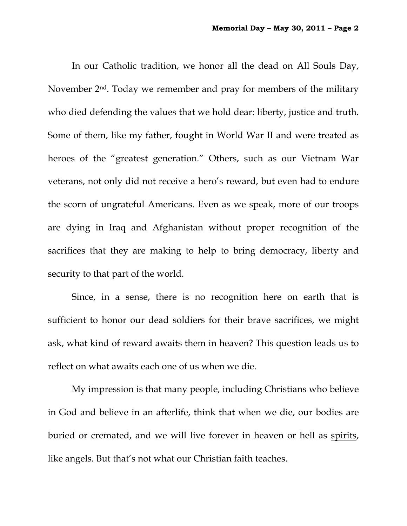In our Catholic tradition, we honor all the dead on All Souls Day, November 2<sup>nd</sup>. Today we remember and pray for members of the military who died defending the values that we hold dear: liberty, justice and truth. Some of them, like my father, fought in World War II and were treated as heroes of the "greatest generation." Others, such as our Vietnam War veterans, not only did not receive a hero's reward, but even had to endure the scorn of ungrateful Americans. Even as we speak, more of our troops are dying in Iraq and Afghanistan without proper recognition of the sacrifices that they are making to help to bring democracy, liberty and security to that part of the world.

Since, in a sense, there is no recognition here on earth that is sufficient to honor our dead soldiers for their brave sacrifices, we might ask, what kind of reward awaits them in heaven? This question leads us to reflect on what awaits each one of us when we die.

My impression is that many people, including Christians who believe in God and believe in an afterlife, think that when we die, our bodies are buried or cremated, and we will live forever in heaven or hell as spirits, like angels. But that's not what our Christian faith teaches.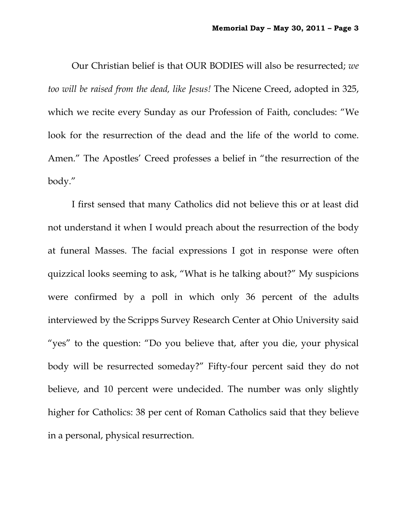Our Christian belief is that OUR BODIES will also be resurrected; *we too will be raised from the dead, like Jesus!* The Nicene Creed, adopted in 325, which we recite every Sunday as our Profession of Faith, concludes: "We look for the resurrection of the dead and the life of the world to come. Amen." The Apostles' Creed professes a belief in "the resurrection of the body."

I first sensed that many Catholics did not believe this or at least did not understand it when I would preach about the resurrection of the body at funeral Masses. The facial expressions I got in response were often quizzical looks seeming to ask, "What is he talking about?" My suspicions were confirmed by a poll in which only 36 percent of the adults interviewed by the Scripps Survey Research Center at Ohio University said "yes" to the question: "Do you believe that, after you die, your physical body will be resurrected someday?" Fifty-four percent said they do not believe, and 10 percent were undecided. The number was only slightly higher for Catholics: 38 per cent of Roman Catholics said that they believe in a personal, physical resurrection.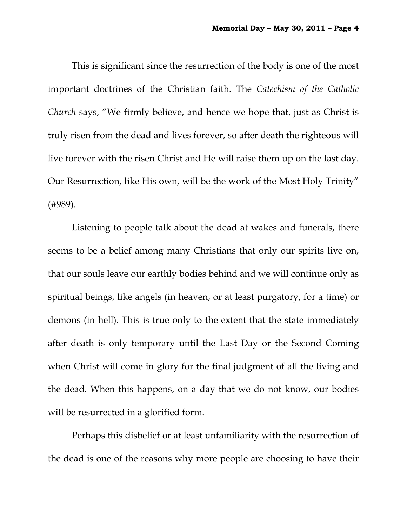This is significant since the resurrection of the body is one of the most important doctrines of the Christian faith. The *Catechism of the Catholic Church* says, "We firmly believe, and hence we hope that, just as Christ is truly risen from the dead and lives forever, so after death the righteous will live forever with the risen Christ and He will raise them up on the last day. Our Resurrection, like His own, will be the work of the Most Holy Trinity" (#989).

 Listening to people talk about the dead at wakes and funerals, there seems to be a belief among many Christians that only our spirits live on, that our souls leave our earthly bodies behind and we will continue only as spiritual beings, like angels (in heaven, or at least purgatory, for a time) or demons (in hell). This is true only to the extent that the state immediately after death is only temporary until the Last Day or the Second Coming when Christ will come in glory for the final judgment of all the living and the dead. When this happens, on a day that we do not know, our bodies will be resurrected in a glorified form.

 Perhaps this disbelief or at least unfamiliarity with the resurrection of the dead is one of the reasons why more people are choosing to have their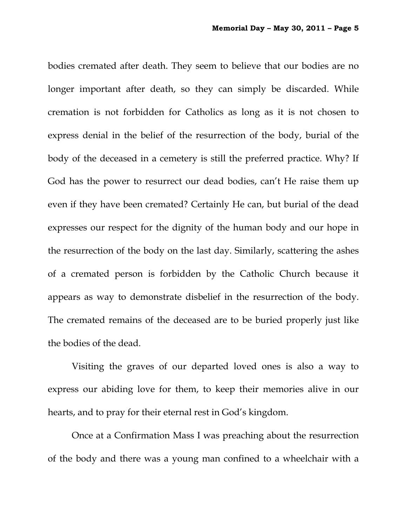bodies cremated after death. They seem to believe that our bodies are no longer important after death, so they can simply be discarded. While cremation is not forbidden for Catholics as long as it is not chosen to express denial in the belief of the resurrection of the body, burial of the body of the deceased in a cemetery is still the preferred practice. Why? If God has the power to resurrect our dead bodies, can't He raise them up even if they have been cremated? Certainly He can, but burial of the dead expresses our respect for the dignity of the human body and our hope in the resurrection of the body on the last day. Similarly, scattering the ashes of a cremated person is forbidden by the Catholic Church because it appears as way to demonstrate disbelief in the resurrection of the body. The cremated remains of the deceased are to be buried properly just like the bodies of the dead.

Visiting the graves of our departed loved ones is also a way to express our abiding love for them, to keep their memories alive in our hearts, and to pray for their eternal rest in God's kingdom.

Once at a Confirmation Mass I was preaching about the resurrection of the body and there was a young man confined to a wheelchair with a